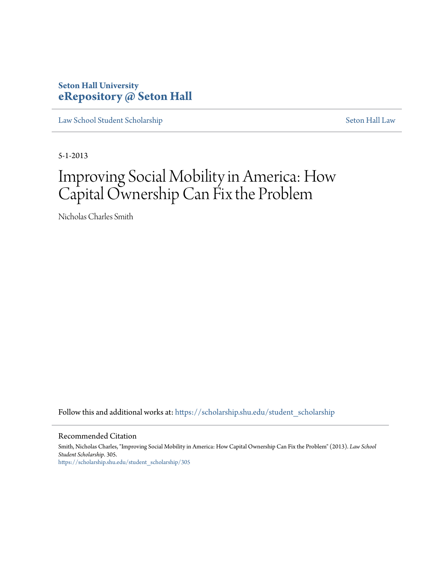# **Seton Hall University [eRepository @ Seton Hall](https://scholarship.shu.edu?utm_source=scholarship.shu.edu%2Fstudent_scholarship%2F305&utm_medium=PDF&utm_campaign=PDFCoverPages)**

[Law School Student Scholarship](https://scholarship.shu.edu/student_scholarship?utm_source=scholarship.shu.edu%2Fstudent_scholarship%2F305&utm_medium=PDF&utm_campaign=PDFCoverPages) [Seton Hall Law](https://scholarship.shu.edu/law?utm_source=scholarship.shu.edu%2Fstudent_scholarship%2F305&utm_medium=PDF&utm_campaign=PDFCoverPages)

5-1-2013

# Improving Social Mobility in America: How Capital Ownership Can Fix the Problem

Nicholas Charles Smith

Follow this and additional works at: [https://scholarship.shu.edu/student\\_scholarship](https://scholarship.shu.edu/student_scholarship?utm_source=scholarship.shu.edu%2Fstudent_scholarship%2F305&utm_medium=PDF&utm_campaign=PDFCoverPages)

#### Recommended Citation

Smith, Nicholas Charles, "Improving Social Mobility in America: How Capital Ownership Can Fix the Problem" (2013). *Law School Student Scholarship*. 305. [https://scholarship.shu.edu/student\\_scholarship/305](https://scholarship.shu.edu/student_scholarship/305?utm_source=scholarship.shu.edu%2Fstudent_scholarship%2F305&utm_medium=PDF&utm_campaign=PDFCoverPages)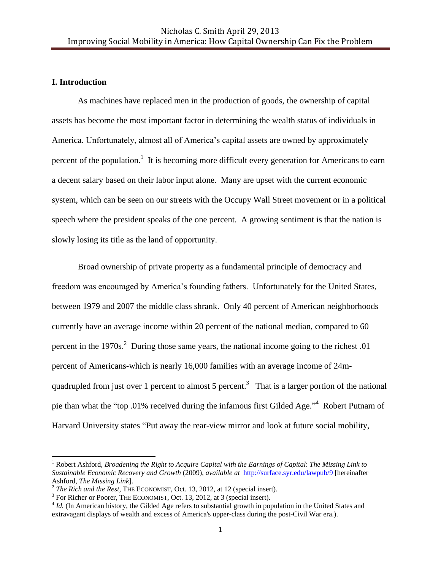### **I. Introduction**

 $\overline{\phantom{a}}$ 

As machines have replaced men in the production of goods, the ownership of capital assets has become the most important factor in determining the wealth status of individuals in America. Unfortunately, almost all of America's capital assets are owned by approximately percent of the population.<sup>1</sup> It is becoming more difficult every generation for Americans to earn a decent salary based on their labor input alone. Many are upset with the current economic system, which can be seen on our streets with the Occupy Wall Street movement or in a political speech where the president speaks of the one percent. A growing sentiment is that the nation is slowly losing its title as the land of opportunity.

Broad ownership of private property as a fundamental principle of democracy and freedom was encouraged by America's founding fathers. Unfortunately for the United States, between 1979 and 2007 the middle class shrank. Only 40 percent of American neighborhoods currently have an average income within 20 percent of the national median, compared to 60 percent in the  $1970s$ <sup>2</sup> During those same years, the national income going to the richest 0.01 percent of Americans-which is nearly 16,000 families with an average income of 24mquadrupled from just over 1 percent to almost 5 percent.<sup>3</sup> That is a larger portion of the national pie than what the "top .01% received during the infamous first Gilded Age."<sup>4</sup> Robert Putnam of Harvard University states "Put away the rear-view mirror and look at future social mobility,

<sup>1</sup> Robert Ashford, *Broadening the Right to Acquire Capital with the Earnings of Capital*: *The Missing Link to Sustainable Economic Recovery and Growth* (2009), *available at* <http://surface.syr.edu/lawpub/9> [hereinafter Ashford, *The Missing Link*].

<sup>2</sup> *The Rich and the Rest*, THE ECONOMIST, Oct. 13, 2012, at 12 (special insert).

<sup>&</sup>lt;sup>3</sup> For Richer or Poorer, THE ECONOMIST, Oct. 13, 2012, at 3 (special insert).

<sup>&</sup>lt;sup>4</sup> *Id.* (In American history, the Gilded Age refers to substantial growth in population in the United States and extravagant displays of wealth and excess of America's upper-class during the post-Civil War era.).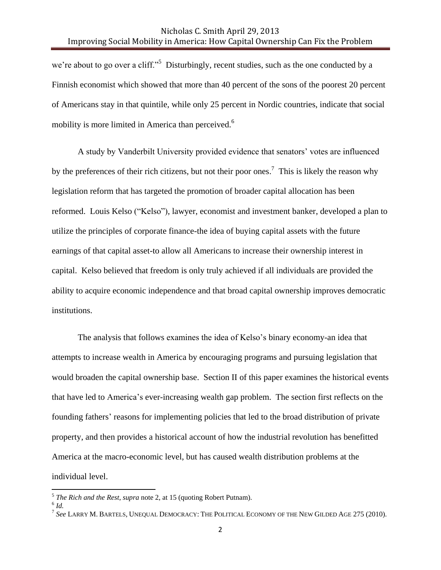we're about to go over a cliff."<sup>5</sup> Disturbingly, recent studies, such as the one conducted by a Finnish economist which showed that more than 40 percent of the sons of the poorest 20 percent of Americans stay in that quintile, while only 25 percent in Nordic countries, indicate that social mobility is more limited in America than perceived.<sup>6</sup>

A study by Vanderbilt University provided evidence that senators' votes are influenced by the preferences of their rich citizens, but not their poor ones.<sup>7</sup> This is likely the reason why legislation reform that has targeted the promotion of broader capital allocation has been reformed. Louis Kelso ("Kelso"), lawyer, economist and investment banker, developed a plan to utilize the principles of corporate finance-the idea of buying capital assets with the future earnings of that capital asset-to allow all Americans to increase their ownership interest in capital. Kelso believed that freedom is only truly achieved if all individuals are provided the ability to acquire economic independence and that broad capital ownership improves democratic institutions.

The analysis that follows examines the idea of Kelso's binary economy-an idea that attempts to increase wealth in America by encouraging programs and pursuing legislation that would broaden the capital ownership base. Section II of this paper examines the historical events that have led to America's ever-increasing wealth gap problem. The section first reflects on the founding fathers' reasons for implementing policies that led to the broad distribution of private property, and then provides a historical account of how the industrial revolution has benefitted America at the macro-economic level, but has caused wealth distribution problems at the individual level.

 5 *The Rich and the Rest*, *supra* note 2, at 15 (quoting Robert Putnam).

<sup>6</sup> *Id.*

<sup>7</sup> *See* LARRY M. BARTELS, UNEQUAL DEMOCRACY: THE POLITICAL ECONOMY OF THE NEW GILDED AGE 275 (2010).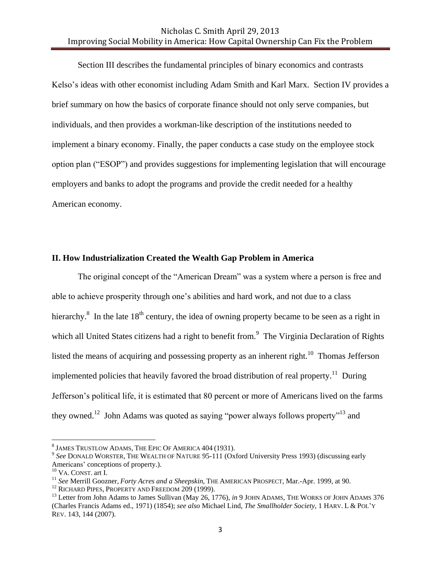Section III describes the fundamental principles of binary economics and contrasts Kelso's ideas with other economist including Adam Smith and Karl Marx. Section IV provides a brief summary on how the basics of corporate finance should not only serve companies, but individuals, and then provides a workman-like description of the institutions needed to implement a binary economy. Finally, the paper conducts a case study on the employee stock option plan ("ESOP") and provides suggestions for implementing legislation that will encourage employers and banks to adopt the programs and provide the credit needed for a healthy American economy.

#### **II. How Industrialization Created the Wealth Gap Problem in America**

The original concept of the "American Dream" was a system where a person is free and able to achieve prosperity through one's abilities and hard work, and not due to a class hierarchy.<sup>8</sup> In the late 18<sup>th</sup> century, the idea of owning property became to be seen as a right in which all United States citizens had a right to benefit from.<sup>9</sup> The Virginia Declaration of Rights listed the means of acquiring and possessing property as an inherent right.<sup>10</sup> Thomas Jefferson implemented policies that heavily favored the broad distribution of real property.<sup>11</sup> During Jefferson's political life, it is estimated that 80 percent or more of Americans lived on the farms they owned.<sup>12</sup> John Adams was quoted as saying "power always follows property"<sup>13</sup> and

 8 JAMES TRUSTLOW ADAMS, THE EPIC OF AMERICA 404 (1931).

<sup>9</sup> *See* DONALD WORSTER, THE WEALTH OF NATURE 95-111 (Oxford University Press 1993) (discussing early Americans' conceptions of property.).

<sup>10</sup> VA. CONST. art I.

<sup>11</sup> *See* Merrill Goozner, *Forty Acres and a Sheepskin*, THE AMERICAN PROSPECT, Mar.-Apr. 1999, at 90.

<sup>&</sup>lt;sup>12</sup> RICHARD PIPES, PROPERTY AND FREEDOM 209 (1999).

<sup>13</sup> Letter from John Adams to James Sullivan (May 26, 1776), *in* 9 JOHN ADAMS, THE WORKS OF JOHN ADAMS 376 (Charles Francis Adams ed., 1971) (1854); *see also* Michael Lind, *The Smallholder Society*, 1 HARV. L & POL'Y REV. 143, 144 (2007).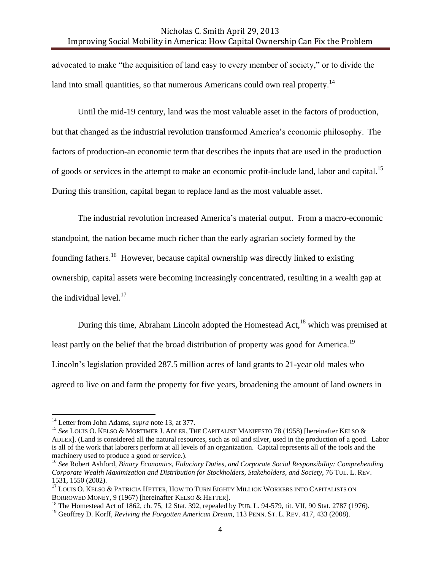advocated to make "the acquisition of land easy to every member of society," or to divide the land into small quantities, so that numerous Americans could own real property.<sup>14</sup>

Until the mid-19 century, land was the most valuable asset in the factors of production, but that changed as the industrial revolution transformed America's economic philosophy. The factors of production-an economic term that describes the inputs that are used in the production of goods or services in the attempt to make an economic profit-include land, labor and capital.<sup>15</sup> During this transition, capital began to replace land as the most valuable asset.

The industrial revolution increased America's material output. From a macro-economic standpoint, the nation became much richer than the early agrarian society formed by the founding fathers.<sup>16</sup> However, because capital ownership was directly linked to existing ownership, capital assets were becoming increasingly concentrated, resulting in a wealth gap at the individual level. $17$ 

During this time, Abraham Lincoln adopted the Homestead Act,  $^{18}$  which was premised at least partly on the belief that the broad distribution of property was good for America.<sup>19</sup> Lincoln's legislation provided 287.5 million acres of land grants to 21-year old males who agreed to live on and farm the property for five years, broadening the amount of land owners in

<sup>14</sup> Letter from John Adams, *supra* note 13, at 377.

<sup>&</sup>lt;sup>15</sup> See LOUIS O. KELSO & MORTIMER J. ADLER, THE CAPITALIST MANIFESTO 78 (1958) [hereinafter KELSO & ADLER]. (Land is considered all the natural resources, such as oil and silver, used in the production of a good. Labor is all of the work that laborers perform at all levels of an organization. Capital represents all of the tools and the machinery used to produce a good or service.).

<sup>16</sup> *See* Robert Ashford, *Binary Economics, Fiduciary Duties, and Corporate Social Responsibility: Comprehending Corporate Wealth Maximization and Distribution for Stockholders, Stakeholders, and Society*, 76 TUL. L. REV. 1531, 1550 (2002).

<sup>&</sup>lt;sup>17</sup> LOUIS O. KELSO & PATRICIA HETTER, HOW TO TURN EIGHTY MILLION WORKERS INTO CAPITALISTS ON BORROWED MONEY, 9 (1967) [hereinafter KELSO & HETTER].

<sup>&</sup>lt;sup>18</sup> The Homestead Act of 1862, ch. 75, 12 Stat. 392, repealed by PUB. L. 94-579, tit. VII, 90 Stat. 2787 (1976).

<sup>&</sup>lt;sup>19</sup> Geoffrey D. Korff, *Reviving the Forgotten American Dream*, 113 PENN. ST. L. REV. 417, 433 (2008).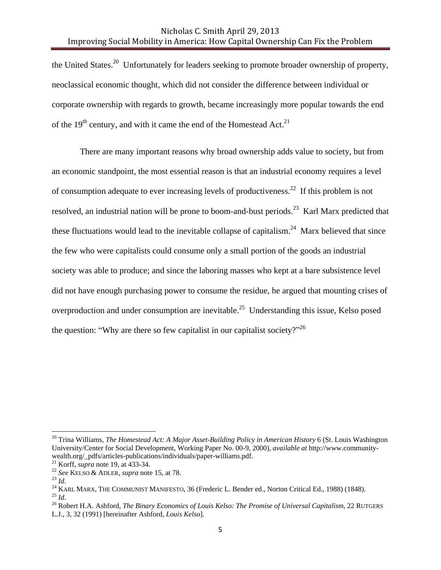the United States.<sup>20</sup> Unfortunately for leaders seeking to promote broader ownership of property, neoclassical economic thought, which did not consider the difference between individual or corporate ownership with regards to growth, became increasingly more popular towards the end of the 19<sup>th</sup> century, and with it came the end of the Homestead Act.<sup>21</sup>

There are many important reasons why broad ownership adds value to society, but from an economic standpoint, the most essential reason is that an industrial economy requires a level of consumption adequate to ever increasing levels of productiveness.<sup>22</sup> If this problem is not resolved, an industrial nation will be prone to boom-and-bust periods.<sup>23</sup> Karl Marx predicted that these fluctuations would lead to the inevitable collapse of capitalism.<sup>24</sup> Marx believed that since the few who were capitalists could consume only a small portion of the goods an industrial society was able to produce; and since the laboring masses who kept at a bare subsistence level did not have enough purchasing power to consume the residue, he argued that mounting crises of overproduction and under consumption are inevitable.<sup>25</sup> Understanding this issue, Kelso posed the question: "Why are there so few capitalist in our capitalist society?"  $2^{5}$ 

<sup>20</sup> Trina Williams, *The Homestead Act: A Major Asset-Building Policy in American History* 6 (St. Louis Washington University/Center for Social Development, Working Paper No. 00-9, 2000), *available at* http://www.communitywealth.org/\_pdfs/articles-publications/individuals/paper-williams.pdf.

<sup>21</sup> Korff, *supra* note 19, at 433-34.

<sup>22</sup> *See* KELSO & ADLER, *supra* note 15, at 78.

<sup>23</sup> *Id.*

<sup>&</sup>lt;sup>24</sup> KARL MARX, THE COMMUNIST MANIFESTO, 36 (Frederic L. Bender ed., Norton Critical Ed., 1988) (1848). <sup>25</sup> *Id.*

<sup>26</sup> Robert H.A. Ashford, *The Binary Economics of Louis Kelso: The Promise of Universal Capitalism*, 22 RUTGERS L.J., 3, 32 (1991) [hereinafter Ashford*, Louis Kelso*].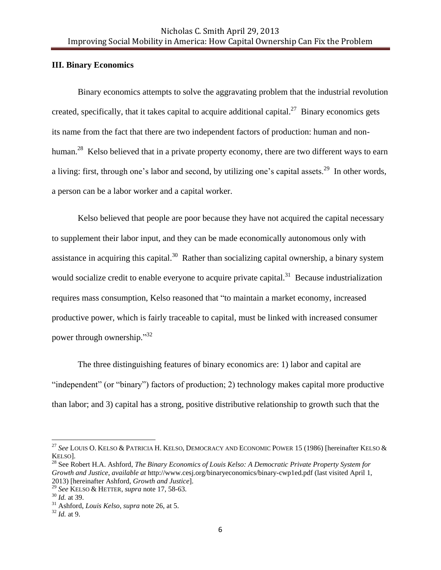#### **III. Binary Economics**

Binary economics attempts to solve the aggravating problem that the industrial revolution created, specifically, that it takes capital to acquire additional capital.<sup>27</sup> Binary economics gets its name from the fact that there are two independent factors of production: human and nonhuman.<sup>28</sup> Kelso believed that in a private property economy, there are two different ways to earn a living: first, through one's labor and second, by utilizing one's capital assets.<sup>29</sup> In other words, a person can be a labor worker and a capital worker.

Kelso believed that people are poor because they have not acquired the capital necessary to supplement their labor input, and they can be made economically autonomous only with assistance in acquiring this capital.<sup>30</sup> Rather than socializing capital ownership, a binary system would socialize credit to enable everyone to acquire private capital. $31$  Because industrialization requires mass consumption, Kelso reasoned that "to maintain a market economy, increased productive power, which is fairly traceable to capital, must be linked with increased consumer power through ownership."<sup>32</sup>

The three distinguishing features of binary economics are: 1) labor and capital are "independent" (or "binary") factors of production; 2) technology makes capital more productive than labor; and 3) capital has a strong, positive distributive relationship to growth such that the

<sup>27</sup> *See* LOUIS O. KELSO & PATRICIA H. KELSO, DEMOCRACY AND ECONOMIC POWER 15 (1986) [hereinafter KELSO & KELSO].

<sup>28</sup> See Robert H.A. Ashford, *The Binary Economics of Louis Kelso: A Democratic Private Property System for Growth and Justice*, *available at* http://www.cesj.org/binaryeconomics/binary-cwp1ed.pdf (last visited April 1, 2013) [hereinafter Ashford, *Growth and Justice*].

<sup>29</sup> *See* KELSO & HETTER, *supra* note 17, 58-63.

<sup>30</sup> *Id.* at 39.

<sup>31</sup> Ashford, *Louis Kelso*, *supra* note 26, at 5.

<sup>32</sup> *Id.* at 9.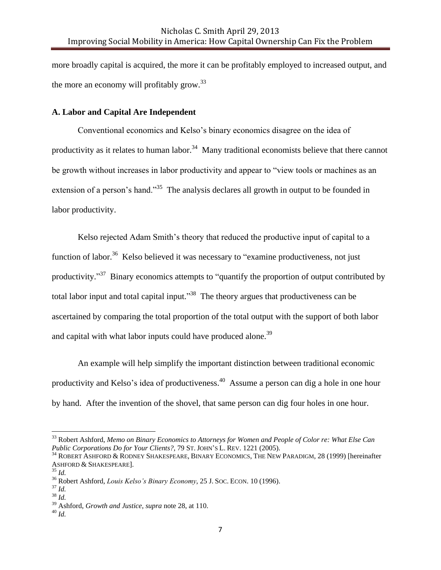more broadly capital is acquired, the more it can be profitably employed to increased output, and the more an economy will profitably grow.<sup>33</sup>

#### **A. Labor and Capital Are Independent**

Conventional economics and Kelso's binary economics disagree on the idea of productivity as it relates to human labor.<sup>34</sup> Many traditional economists believe that there cannot be growth without increases in labor productivity and appear to "view tools or machines as an extension of a person's hand."<sup>35</sup> The analysis declares all growth in output to be founded in labor productivity.

Kelso rejected Adam Smith's theory that reduced the productive input of capital to a function of labor.<sup>36</sup> Kelso believed it was necessary to "examine productiveness, not just productivity."<sup>37</sup> Binary economics attempts to "quantify the proportion of output contributed by total labor input and total capital input."<sup>38</sup> The theory argues that productiveness can be ascertained by comparing the total proportion of the total output with the support of both labor and capital with what labor inputs could have produced alone.<sup>39</sup>

An example will help simplify the important distinction between traditional economic productivity and Kelso's idea of productiveness.<sup>40</sup> Assume a person can dig a hole in one hour by hand. After the invention of the shovel, that same person can dig four holes in one hour.

<sup>33</sup> Robert Ashford, *Memo on Binary Economics to Attorneys for Women and People of Color re: What Else Can Public Corporations Do for Your Clients?,* 79 ST. JOHN'S L. REV. 1221 (2005).

<sup>34</sup> ROBERT ASHFORD & RODNEY SHAKESPEARE, BINARY ECONOMICS, THE NEW PARADIGM, 28 (1999) [hereinafter ASHFORD & SHAKESPEARE].

<sup>35</sup> *Id.* 

<sup>36</sup> Robert Ashford, *Louis Kelso's Binary Economy*, 25 J. SOC. ECON. 10 (1996).

<sup>37</sup> *Id.*

<sup>38</sup> *Id.*

<sup>39</sup> Ashford, *Growth and Justice*, *supra* note 28, at 110.

<sup>40</sup> *Id.*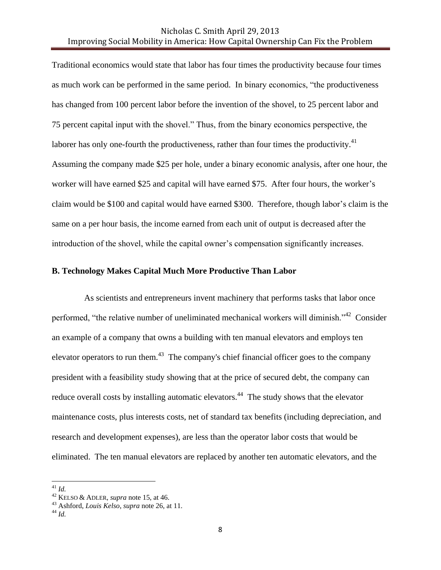Traditional economics would state that labor has four times the productivity because four times as much work can be performed in the same period. In binary economics, "the productiveness has changed from 100 percent labor before the invention of the shovel, to 25 percent labor and 75 percent capital input with the shovel." Thus, from the binary economics perspective, the laborer has only one-fourth the productiveness, rather than four times the productivity. $41$ Assuming the company made \$25 per hole, under a binary economic analysis, after one hour, the worker will have earned \$25 and capital will have earned \$75. After four hours, the worker's claim would be \$100 and capital would have earned \$300. Therefore, though labor's claim is the same on a per hour basis, the income earned from each unit of output is decreased after the introduction of the shovel, while the capital owner's compensation significantly increases.

#### **B. Technology Makes Capital Much More Productive Than Labor**

 As scientists and entrepreneurs invent machinery that performs tasks that labor once performed, "the relative number of uneliminated mechanical workers will diminish."<sup>42</sup> Consider an example of a company that owns a building with ten manual elevators and employs ten elevator operators to run them.<sup>43</sup> The company's chief financial officer goes to the company president with a feasibility study showing that at the price of secured debt, the company can reduce overall costs by installing automatic elevators.<sup>44</sup> The study shows that the elevator maintenance costs, plus interests costs, net of standard tax benefits (including depreciation, and research and development expenses), are less than the operator labor costs that would be eliminated. The ten manual elevators are replaced by another ten automatic elevators, and the

<sup>41</sup> *Id.*

<sup>42</sup> KELSO & ADLER, *supra* note 15, at 46.

<sup>43</sup> Ashford, *Louis Kelso*, *supra* note 26, at 11.

<sup>44</sup> *Id.*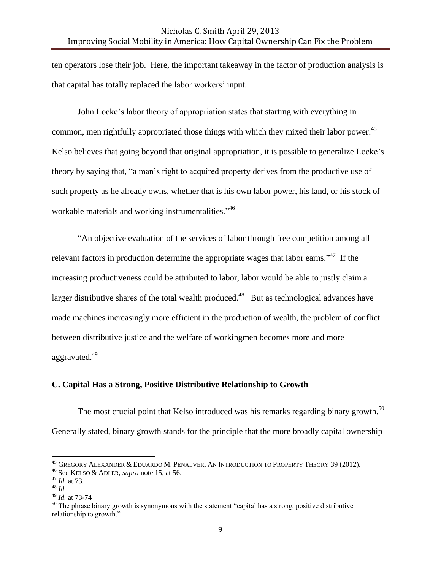ten operators lose their job. Here, the important takeaway in the factor of production analysis is that capital has totally replaced the labor workers' input.

John Locke's labor theory of appropriation states that starting with everything in common, men rightfully appropriated those things with which they mixed their labor power. 45 Kelso believes that going beyond that original appropriation, it is possible to generalize Locke's theory by saying that, "a man's right to acquired property derives from the productive use of such property as he already owns, whether that is his own labor power, his land, or his stock of workable materials and working instrumentalities."<sup>46</sup>

"An objective evaluation of the services of labor through free competition among all relevant factors in production determine the appropriate wages that labor earns.<sup> $347$ </sup> If the increasing productiveness could be attributed to labor, labor would be able to justly claim a larger distributive shares of the total wealth produced.<sup>48</sup> But as technological advances have made machines increasingly more efficient in the production of wealth, the problem of conflict between distributive justice and the welfare of workingmen becomes more and more aggravated.<sup>49</sup>

## **C. Capital Has a Strong, Positive Distributive Relationship to Growth**

The most crucial point that Kelso introduced was his remarks regarding binary growth.<sup>50</sup> Generally stated, binary growth stands for the principle that the more broadly capital ownership

 $^{45}$  Gregory Alexander & Eduardo M. Penalver, An Introduction to Property Theory 39 (2012).

<sup>46</sup> See KELSO & ADLER*, supra* note 15, at 56.

<sup>47</sup> *Id.* at 73.

<sup>48</sup> *Id.*

<sup>49</sup> *Id.* at 73-74

<sup>&</sup>lt;sup>50</sup> The phrase binary growth is synonymous with the statement "capital has a strong, positive distributive relationship to growth."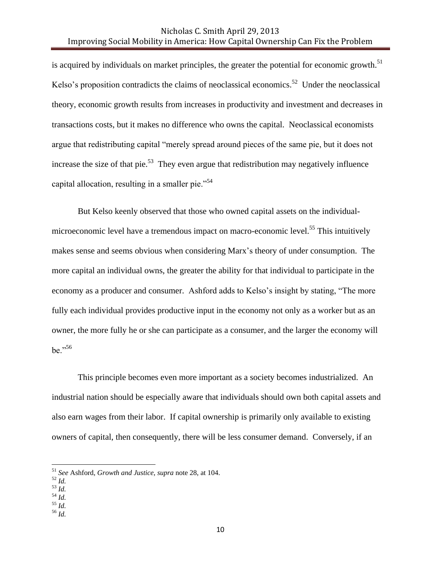is acquired by individuals on market principles, the greater the potential for economic growth.<sup>51</sup> Kelso's proposition contradicts the claims of neoclassical economics.<sup>52</sup> Under the neoclassical theory, economic growth results from increases in productivity and investment and decreases in transactions costs, but it makes no difference who owns the capital. Neoclassical economists argue that redistributing capital "merely spread around pieces of the same pie, but it does not increase the size of that pie.<sup>53</sup> They even argue that redistribution may negatively influence capital allocation, resulting in a smaller pie."<sup>54</sup>

But Kelso keenly observed that those who owned capital assets on the individualmicroeconomic level have a tremendous impact on macro-economic level.<sup>55</sup> This intuitively makes sense and seems obvious when considering Marx's theory of under consumption. The more capital an individual owns, the greater the ability for that individual to participate in the economy as a producer and consumer. Ashford adds to Kelso's insight by stating, "The more fully each individual provides productive input in the economy not only as a worker but as an owner, the more fully he or she can participate as a consumer, and the larger the economy will be."<sup>56</sup>

This principle becomes even more important as a society becomes industrialized. An industrial nation should be especially aware that individuals should own both capital assets and also earn wages from their labor. If capital ownership is primarily only available to existing owners of capital, then consequently, there will be less consumer demand. Conversely, if an

 $\overline{\phantom{a}}$ 

<sup>55</sup> *Id.* <sup>56</sup> *Id.*

<sup>51</sup> *See* Ashford, *Growth and Justice*, *supra* note 28, at 104.

<sup>52</sup> *Id.*

<sup>53</sup> *Id.*

<sup>54</sup> *Id.*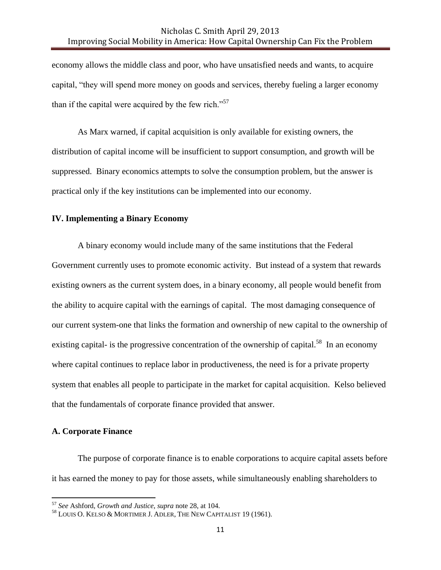economy allows the middle class and poor, who have unsatisfied needs and wants, to acquire capital, "they will spend more money on goods and services, thereby fueling a larger economy than if the capital were acquired by the few rich."<sup>57</sup>

As Marx warned, if capital acquisition is only available for existing owners, the distribution of capital income will be insufficient to support consumption, and growth will be suppressed. Binary economics attempts to solve the consumption problem, but the answer is practical only if the key institutions can be implemented into our economy.

#### **IV. Implementing a Binary Economy**

A binary economy would include many of the same institutions that the Federal Government currently uses to promote economic activity. But instead of a system that rewards existing owners as the current system does, in a binary economy, all people would benefit from the ability to acquire capital with the earnings of capital. The most damaging consequence of our current system-one that links the formation and ownership of new capital to the ownership of existing capital- is the progressive concentration of the ownership of capital.<sup>58</sup> In an economy where capital continues to replace labor in productiveness, the need is for a private property system that enables all people to participate in the market for capital acquisition. Kelso believed that the fundamentals of corporate finance provided that answer.

#### **A. Corporate Finance**

 $\overline{a}$ 

The purpose of corporate finance is to enable corporations to acquire capital assets before it has earned the money to pay for those assets, while simultaneously enabling shareholders to

<sup>57</sup> *See* Ashford, *Growth and Justice*, *supra* note 28, at 104.

<sup>58</sup> LOUIS O. KELSO & MORTIMER J. ADLER, THE NEW CAPITALIST 19 (1961).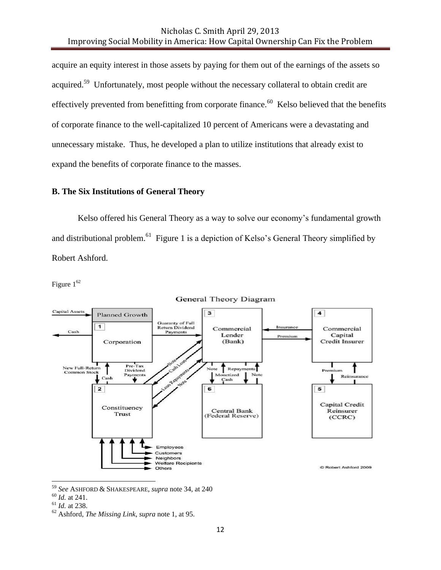acquire an equity interest in those assets by paying for them out of the earnings of the assets so acquired.<sup>59</sup> Unfortunately, most people without the necessary collateral to obtain credit are effectively prevented from benefitting from corporate finance.<sup>60</sup> Kelso believed that the benefits of corporate finance to the well-capitalized 10 percent of Americans were a devastating and unnecessary mistake. Thus, he developed a plan to utilize institutions that already exist to expand the benefits of corporate finance to the masses.

# **B. The Six Institutions of General Theory**

Kelso offered his General Theory as a way to solve our economy's fundamental growth and distributional problem.<sup>61</sup> Figure 1 is a depiction of Kelso's General Theory simplified by Robert Ashford.

Figure  $1^{62}$ 



**General Theory Diagram** 

<sup>59</sup> *See* ASHFORD & SHAKESPEARE, *supra* note 34, at 240

<sup>60</sup> *Id.* at 241.

<sup>61</sup> *Id.* at 238.

<sup>62</sup> Ashford, *The Missing Link*, *supra* note 1, at 95.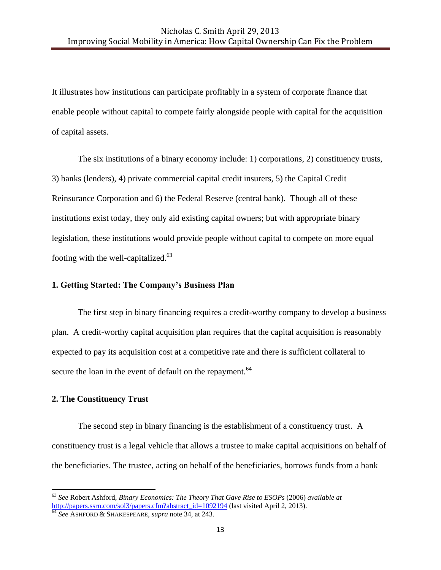It illustrates how institutions can participate profitably in a system of corporate finance that enable people without capital to compete fairly alongside people with capital for the acquisition of capital assets.

The six institutions of a binary economy include: 1) corporations, 2) constituency trusts, 3) banks (lenders), 4) private commercial capital credit insurers, 5) the Capital Credit Reinsurance Corporation and 6) the Federal Reserve (central bank). Though all of these institutions exist today, they only aid existing capital owners; but with appropriate binary legislation, these institutions would provide people without capital to compete on more equal footing with the well-capitalized.<sup>63</sup>

### **1. Getting Started: The Company's Business Plan**

The first step in binary financing requires a credit-worthy company to develop a business plan. A credit-worthy capital acquisition plan requires that the capital acquisition is reasonably expected to pay its acquisition cost at a competitive rate and there is sufficient collateral to secure the loan in the event of default on the repayment.<sup>64</sup>

#### **2. The Constituency Trust**

 $\overline{\phantom{a}}$ 

The second step in binary financing is the establishment of a constituency trust. A constituency trust is a legal vehicle that allows a trustee to make capital acquisitions on behalf of the beneficiaries. The trustee, acting on behalf of the beneficiaries, borrows funds from a bank

<sup>63</sup> *See* Robert Ashford, *Binary Economics: The Theory That Gave Rise to ESOPs* (2006) *available at* [http://papers.ssrn.com/sol3/papers.cfm?abstract\\_id=1092194](http://papers.ssrn.com/sol3/papers.cfm?abstract_id=1092194) (last visited April 2, 2013).

<sup>64</sup> *See* ASHFORD & SHAKESPEARE, *supra* note 34, at 243.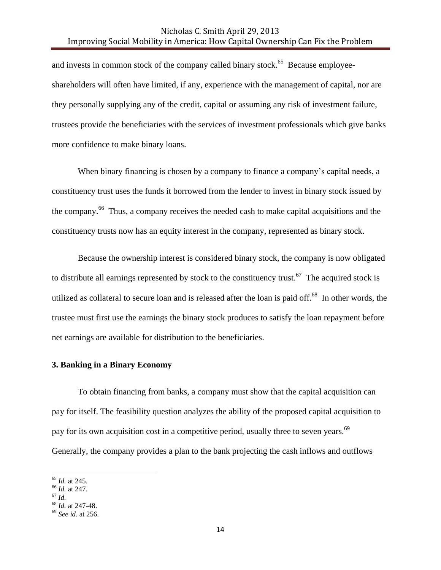and invests in common stock of the company called binary stock.<sup>65</sup> Because employeeshareholders will often have limited, if any, experience with the management of capital, nor are they personally supplying any of the credit, capital or assuming any risk of investment failure, trustees provide the beneficiaries with the services of investment professionals which give banks more confidence to make binary loans.

When binary financing is chosen by a company to finance a company's capital needs, a constituency trust uses the funds it borrowed from the lender to invest in binary stock issued by the company.<sup>66</sup> Thus, a company receives the needed cash to make capital acquisitions and the constituency trusts now has an equity interest in the company, represented as binary stock.

Because the ownership interest is considered binary stock, the company is now obligated to distribute all earnings represented by stock to the constituency trust.<sup>67</sup> The acquired stock is utilized as collateral to secure loan and is released after the loan is paid off.<sup>68</sup> In other words, the trustee must first use the earnings the binary stock produces to satisfy the loan repayment before net earnings are available for distribution to the beneficiaries.

#### **3. Banking in a Binary Economy**

To obtain financing from banks, a company must show that the capital acquisition can pay for itself. The feasibility question analyzes the ability of the proposed capital acquisition to pay for its own acquisition cost in a competitive period, usually three to seven years.<sup>69</sup> Generally, the company provides a plan to the bank projecting the cash inflows and outflows

 $\overline{a}$ 

<sup>65</sup> *Id.* at 245.

<sup>66</sup> *Id.* at 247.

<sup>67</sup> *Id.*

<sup>68</sup> *Id.* at 247-48.

<sup>69</sup> *See id.* at 256.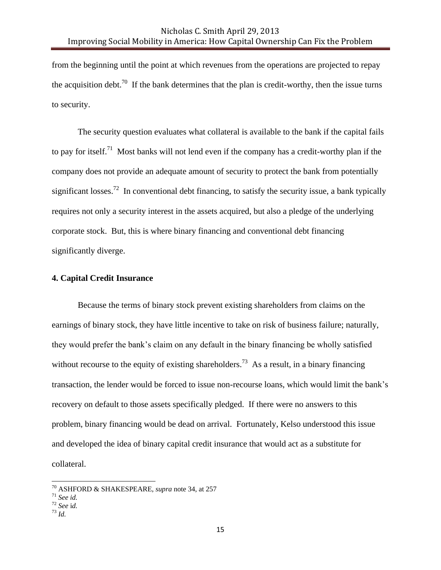from the beginning until the point at which revenues from the operations are projected to repay the acquisition debt.<sup>70</sup> If the bank determines that the plan is credit-worthy, then the issue turns to security.

The security question evaluates what collateral is available to the bank if the capital fails to pay for itself.<sup>71</sup> Most banks will not lend even if the company has a credit-worthy plan if the company does not provide an adequate amount of security to protect the bank from potentially significant losses.<sup>72</sup> In conventional debt financing, to satisfy the security issue, a bank typically requires not only a security interest in the assets acquired, but also a pledge of the underlying corporate stock. But, this is where binary financing and conventional debt financing significantly diverge.

#### **4. Capital Credit Insurance**

Because the terms of binary stock prevent existing shareholders from claims on the earnings of binary stock, they have little incentive to take on risk of business failure; naturally, they would prefer the bank's claim on any default in the binary financing be wholly satisfied without recourse to the equity of existing shareholders.<sup>73</sup> As a result, in a binary financing transaction, the lender would be forced to issue non-recourse loans, which would limit the bank's recovery on default to those assets specifically pledged. If there were no answers to this problem, binary financing would be dead on arrival. Fortunately, Kelso understood this issue and developed the idea of binary capital credit insurance that would act as a substitute for collateral.

<sup>73</sup> *Id.*

<sup>70</sup> ASHFORD & SHAKESPEARE, *supra* note 34, at 257

<sup>71</sup> *See id.*

<sup>72</sup> *See* i*d.*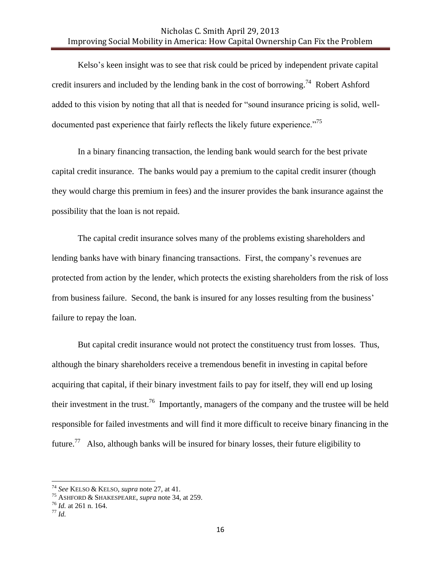Kelso's keen insight was to see that risk could be priced by independent private capital credit insurers and included by the lending bank in the cost of borrowing.<sup>74</sup> Robert Ashford added to this vision by noting that all that is needed for "sound insurance pricing is solid, welldocumented past experience that fairly reflects the likely future experience."<sup>75</sup>

In a binary financing transaction, the lending bank would search for the best private capital credit insurance. The banks would pay a premium to the capital credit insurer (though they would charge this premium in fees) and the insurer provides the bank insurance against the possibility that the loan is not repaid.

The capital credit insurance solves many of the problems existing shareholders and lending banks have with binary financing transactions. First, the company's revenues are protected from action by the lender, which protects the existing shareholders from the risk of loss from business failure. Second, the bank is insured for any losses resulting from the business' failure to repay the loan.

But capital credit insurance would not protect the constituency trust from losses. Thus, although the binary shareholders receive a tremendous benefit in investing in capital before acquiring that capital, if their binary investment fails to pay for itself, they will end up losing their investment in the trust.<sup>76</sup> Importantly, managers of the company and the trustee will be held responsible for failed investments and will find it more difficult to receive binary financing in the future.<sup>77</sup> Also, although banks will be insured for binary losses, their future eligibility to

<sup>74</sup> *See* KELSO & KELSO, *supra* note 27, at 41.

<sup>75</sup> ASHFORD & SHAKESPEARE, *supra* note 34, at 259.

<sup>76</sup> *Id.* at 261 n. 164.

<sup>77</sup> *Id.*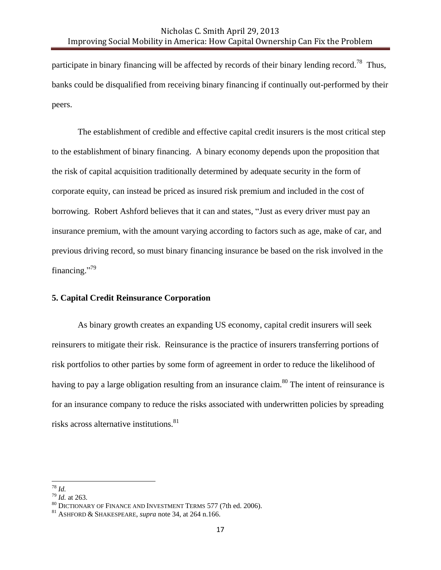participate in binary financing will be affected by records of their binary lending record.<sup>78</sup> Thus, banks could be disqualified from receiving binary financing if continually out-performed by their peers.

The establishment of credible and effective capital credit insurers is the most critical step to the establishment of binary financing. A binary economy depends upon the proposition that the risk of capital acquisition traditionally determined by adequate security in the form of corporate equity, can instead be priced as insured risk premium and included in the cost of borrowing. Robert Ashford believes that it can and states, "Just as every driver must pay an insurance premium, with the amount varying according to factors such as age, make of car, and previous driving record, so must binary financing insurance be based on the risk involved in the financing."<sup>79</sup>

#### **5. Capital Credit Reinsurance Corporation**

As binary growth creates an expanding US economy, capital credit insurers will seek reinsurers to mitigate their risk. Reinsurance is the practice of insurers transferring portions of risk portfolios to other parties by some form of agreement in order to reduce the likelihood of having to pay a large obligation resulting from an insurance claim.<sup>80</sup> The intent of reinsurance is for an insurance company to reduce the risks associated with underwritten policies by spreading risks across alternative institutions.<sup>81</sup>

 $\overline{\phantom{a}}$ <sup>78</sup> *Id.*

 $^{79}$  *Id.* at 263.

<sup>80</sup> DICTIONARY OF FINANCE AND INVESTMENT TERMS 577 (7th ed. 2006).

<sup>81</sup> ASHFORD & SHAKESPEARE, *supra* note 34, at 264 n.166.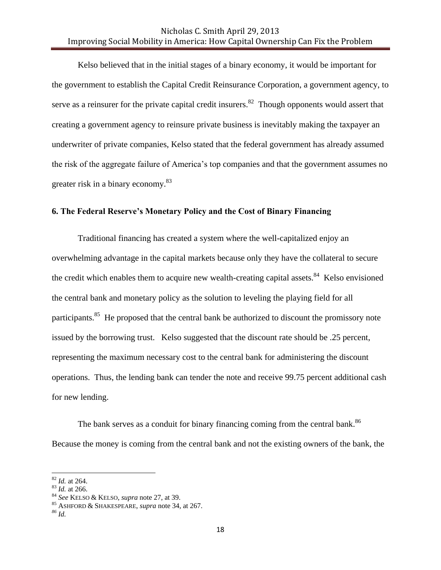Kelso believed that in the initial stages of a binary economy, it would be important for the government to establish the Capital Credit Reinsurance Corporation, a government agency, to serve as a reinsurer for the private capital credit insurers.<sup>82</sup> Though opponents would assert that creating a government agency to reinsure private business is inevitably making the taxpayer an underwriter of private companies, Kelso stated that the federal government has already assumed the risk of the aggregate failure of America's top companies and that the government assumes no greater risk in a binary economy.<sup>83</sup>

#### **6. The Federal Reserve's Monetary Policy and the Cost of Binary Financing**

Traditional financing has created a system where the well-capitalized enjoy an overwhelming advantage in the capital markets because only they have the collateral to secure the credit which enables them to acquire new wealth-creating capital assets.<sup>84</sup> Kelso envisioned the central bank and monetary policy as the solution to leveling the playing field for all participants.<sup>85</sup> He proposed that the central bank be authorized to discount the promissory note issued by the borrowing trust. Kelso suggested that the discount rate should be .25 percent, representing the maximum necessary cost to the central bank for administering the discount operations. Thus, the lending bank can tender the note and receive 99.75 percent additional cash for new lending.

The bank serves as a conduit for binary financing coming from the central bank.<sup>86</sup> Because the money is coming from the central bank and not the existing owners of the bank, the

 $\overline{a}$ 

<sup>82</sup> *Id.* at 264.

<sup>83</sup> *Id.* at 266.

<sup>84</sup> *See* KELSO & KELSO, *supra* note 27, at 39.

<sup>85</sup> ASHFORD & SHAKESPEARE, *supra* note 34, at 267.

*<sup>86</sup> Id.*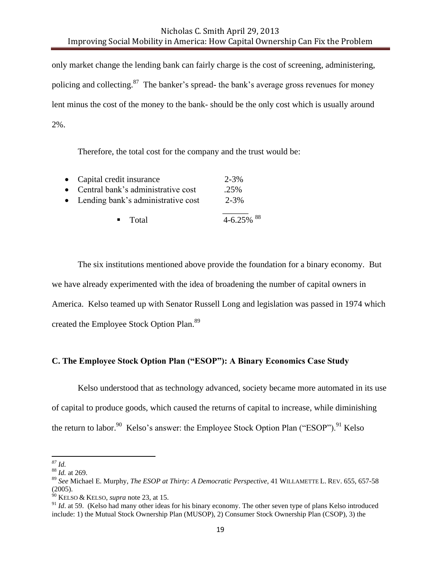only market change the lending bank can fairly charge is the cost of screening, administering, policing and collecting.<sup>87</sup> The banker's spread- the bank's average gross revenues for money lent minus the cost of the money to the bank- should be the only cost which is usually around 2%.

Therefore, the total cost for the company and the trust would be:

| • Capital credit insurance           | $2 - 3%$        |  |  |
|--------------------------------------|-----------------|--|--|
| • Central bank's administrative cost | $.25\%$         |  |  |
| • Lending bank's administrative cost | $2 - 3%$        |  |  |
| $\blacksquare$ Total                 | $4-6.25\%$ $88$ |  |  |

The six institutions mentioned above provide the foundation for a binary economy. But we have already experimented with the idea of broadening the number of capital owners in America. Kelso teamed up with Senator Russell Long and legislation was passed in 1974 which created the Employee Stock Option Plan.<sup>89</sup>

## **C. The Employee Stock Option Plan ("ESOP"): A Binary Economics Case Study**

Kelso understood that as technology advanced, society became more automated in its use of capital to produce goods, which caused the returns of capital to increase, while diminishing the return to labor.<sup>90</sup> Kelso's answer: the Employee Stock Option Plan ("ESOP").<sup>91</sup> Kelso

 $\overline{\phantom{a}}$ *<sup>87</sup> Id.*

<sup>88</sup> *Id.* at 269.

<sup>89</sup> *See* Michael E. Murphy, *The ESOP at Thirty: A Democratic Perspective*, 41 WILLAMETTE L. REV. 655, 657-58 (2005).

<sup>90</sup> KELSO & KELSO, *supra* note 23, at 15.

<sup>&</sup>lt;sup>91</sup> *Id.* at 59. (Kelso had many other ideas for his binary economy. The other seven type of plans Kelso introduced include: 1) the Mutual Stock Ownership Plan (MUSOP), 2) Consumer Stock Ownership Plan (CSOP), 3) the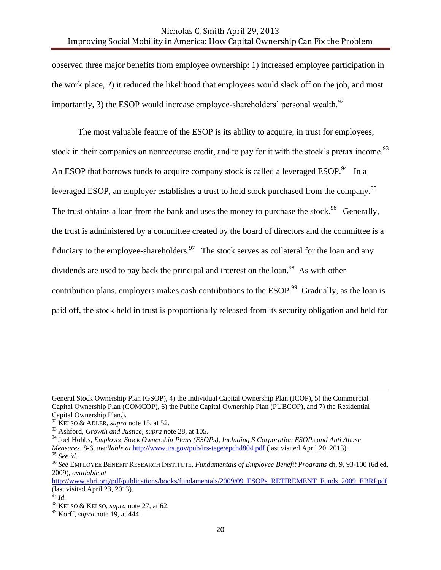observed three major benefits from employee ownership: 1) increased employee participation in the work place, 2) it reduced the likelihood that employees would slack off on the job, and most importantly, 3) the ESOP would increase employee-shareholders' personal wealth.<sup>92</sup>

The most valuable feature of the ESOP is its ability to acquire, in trust for employees, stock in their companies on nonrecourse credit, and to pay for it with the stock's pretax income.<sup>93</sup> An ESOP that borrows funds to acquire company stock is called a leveraged ESOP.<sup>94</sup> In a leveraged ESOP, an employer establishes a trust to hold stock purchased from the company.<sup>95</sup> The trust obtains a loan from the bank and uses the money to purchase the stock.<sup>96</sup> Generally, the trust is administered by a committee created by the board of directors and the committee is a fiduciary to the employee-shareholders.<sup>97</sup> The stock serves as collateral for the loan and any dividends are used to pay back the principal and interest on the loan.<sup>98</sup> As with other contribution plans, employers makes cash contributions to the ESOP.<sup>99</sup> Gradually, as the loan is paid off, the stock held in trust is proportionally released from its security obligation and held for

General Stock Ownership Plan (GSOP), 4) the Individual Capital Ownership Plan (ICOP), 5) the Commercial Capital Ownership Plan (COMCOP), 6) the Public Capital Ownership Plan (PUBCOP), and 7) the Residential Capital Ownership Plan.).

<sup>92</sup> KELSO & ADLER, *supra* note 15, at 52.

<sup>93</sup> Ashford, *Growth and Justice*, *supra* note 28, at 105.

<sup>94</sup> Joel Hobbs, *Employee Stock Ownership Plans (ESOPs), Including S Corporation ESOPs and Anti Abuse Measures*. 8-6, *available at* <http://www.irs.gov/pub/irs-tege/epchd804.pdf> (last visited April 20, 2013). <sup>95</sup> *See id.* 

<sup>96</sup> *See* EMPLOYEE BENEFIT RESEARCH INSTITUTE, *Fundamentals of Employee Benefit Programs* ch. 9, 93-100 (6d ed. 2009), *available at* 

[http://www.ebri.org/pdf/publications/books/fundamentals/2009/09\\_ESOPs\\_RETIREMENT\\_Funds\\_2009\\_EBRI.pdf](http://www.ebri.org/pdf/publications/books/fundamentals/2009/09_ESOPs_RETIREMENT_Funds_2009_EBRI.pdf) (last visited April 23, 2013).

<sup>97</sup> *Id.*

<sup>98</sup> KELSO & KELSO, *supra* note 27, at 62.

<sup>99</sup> Korff, *supra* note 19, at 444.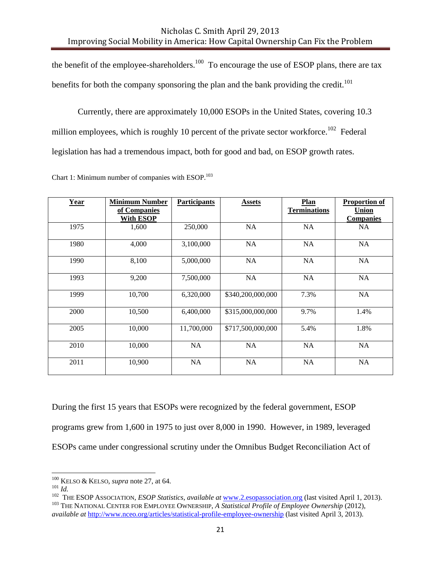the benefit of the employee-shareholders.<sup>100</sup> To encourage the use of ESOP plans, there are tax benefits for both the company sponsoring the plan and the bank providing the credit.<sup>101</sup>

Currently, there are approximately 10,000 ESOPs in the United States, covering 10.3 million employees, which is roughly 10 percent of the private sector workforce.<sup>102</sup> Federal legislation has had a tremendous impact, both for good and bad, on ESOP growth rates.

| Year | <b>Minimum Number</b><br>of Companies<br>With ESOP | <b>Participants</b> | <b>Assets</b>     | Plan<br><b>Terminations</b> | <b>Proportion of</b><br><b>Union</b><br><b>Companies</b> |
|------|----------------------------------------------------|---------------------|-------------------|-----------------------------|----------------------------------------------------------|
| 1975 | 1,600                                              | 250,000             | NA                | <b>NA</b>                   | <b>NA</b>                                                |
| 1980 | 4,000                                              | 3,100,000           | NA                | NA                          | NA                                                       |
| 1990 | 8,100                                              | 5,000,000           | NA                | <b>NA</b>                   | <b>NA</b>                                                |
| 1993 | 9,200                                              | 7,500,000           | NA                | <b>NA</b>                   | NA                                                       |
| 1999 | 10,700                                             | 6,320,000           | \$340,200,000,000 | 7.3%                        | <b>NA</b>                                                |
| 2000 | 10,500                                             | 6,400,000           | \$315,000,000,000 | 9.7%                        | 1.4%                                                     |
| 2005 | 10,000                                             | 11,700,000          | \$717,500,000,000 | 5.4%                        | 1.8%                                                     |
| 2010 | 10,000                                             | NA                  | <b>NA</b>         | <b>NA</b>                   | NA                                                       |
| 2011 | 10,900                                             | NA                  | NA                | <b>NA</b>                   | <b>NA</b>                                                |

Chart 1: Minimum number of companies with ESOP.<sup>103</sup>

During the first 15 years that ESOPs were recognized by the federal government, ESOP programs grew from 1,600 in 1975 to just over 8,000 in 1990. However, in 1989, leveraged ESOPs came under congressional scrutiny under the Omnibus Budget Reconciliation Act of

 $\overline{a}$ 

<sup>100</sup> KELSO & KELSO, *supra* note 27, at 64.

<sup>101</sup> *Id.*

<sup>102</sup> THE ESOP ASSOCIATION, *ESOP Statistics*, *available at* [www.2.esopassociation.org](http://www.2.esopassociation.org/) (last visited April 1, 2013). <sup>103</sup> THE NATIONAL CENTER FOR EMPLOYEE OWNERSHIP, *A Statistical Profile of Employee Ownership* (2012), *available at* <http://www.nceo.org/articles/statistical-profile-employee-ownership> (last visited April 3, 2013).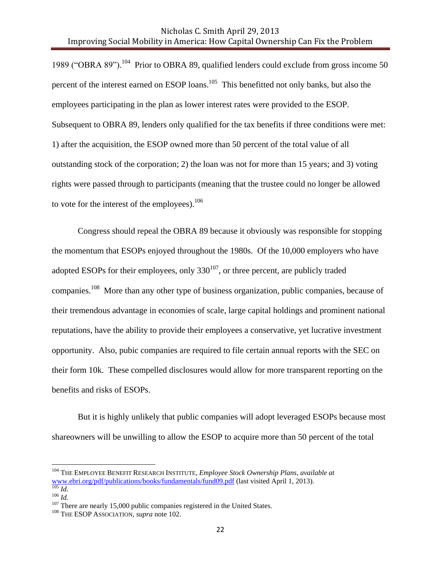1989 ("OBRA 89").<sup>104</sup> Prior to OBRA 89, qualified lenders could exclude from gross income 50 percent of the interest earned on ESOP loans.<sup>105</sup> This benefitted not only banks, but also the employees participating in the plan as lower interest rates were provided to the ESOP. Subsequent to OBRA 89, lenders only qualified for the tax benefits if three conditions were met: 1) after the acquisition, the ESOP owned more than 50 percent of the total value of all outstanding stock of the corporation; 2) the loan was not for more than 15 years; and 3) voting rights were passed through to participants (meaning that the trustee could no longer be allowed to vote for the interest of the employees). $106$ 

Congress should repeal the OBRA 89 because it obviously was responsible for stopping the momentum that ESOPs enjoyed throughout the 1980s. Of the 10,000 employers who have adopted ESOPs for their employees, only  $330^{107}$ , or three percent, are publicly traded companies.<sup>108</sup> More than any other type of business organization, public companies, because of their tremendous advantage in economies of scale, large capital holdings and prominent national reputations, have the ability to provide their employees a conservative, yet lucrative investment opportunity. Also, pubic companies are required to file certain annual reports with the SEC on their form 10k. These compelled disclosures would allow for more transparent reporting on the benefits and risks of ESOPs.

But it is highly unlikely that public companies will adopt leveraged ESOPs because most shareowners will be unwilling to allow the ESOP to acquire more than 50 percent of the total

<sup>104</sup> THE EMPLOYEE BENEFIT RESEARCH INSTITUTE, *Employee Stock Ownership Plans*, *available at* [www.ebri.org/pdf/publications/books/fundamentals/fund09.pdf](http://www.ebri.org/pdf/publications/books/fundamentals/fund09.pdf) (last visited April 1, 2013). <sup>105</sup> *Id.*

<sup>106</sup> *Id.*

 $107$  There are nearly 15,000 public companies registered in the United States.

<sup>&</sup>lt;sup>108</sup> THE ESOP ASSOCIATION, *supra* note 102.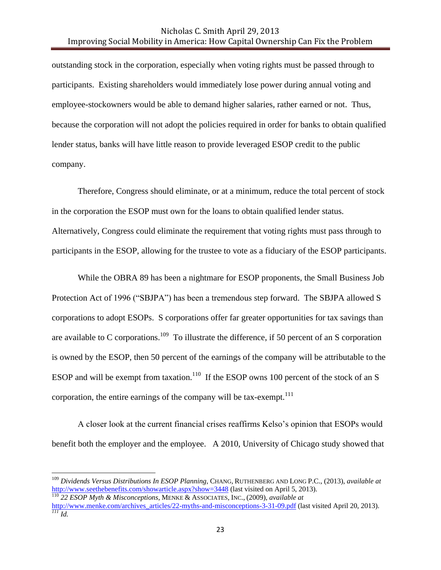outstanding stock in the corporation, especially when voting rights must be passed through to participants. Existing shareholders would immediately lose power during annual voting and employee-stockowners would be able to demand higher salaries, rather earned or not. Thus, because the corporation will not adopt the policies required in order for banks to obtain qualified lender status, banks will have little reason to provide leveraged ESOP credit to the public company.

Therefore, Congress should eliminate, or at a minimum, reduce the total percent of stock in the corporation the ESOP must own for the loans to obtain qualified lender status. Alternatively, Congress could eliminate the requirement that voting rights must pass through to participants in the ESOP, allowing for the trustee to vote as a fiduciary of the ESOP participants.

While the OBRA 89 has been a nightmare for ESOP proponents, the Small Business Job Protection Act of 1996 ("SBJPA") has been a tremendous step forward. The SBJPA allowed S corporations to adopt ESOPs. S corporations offer far greater opportunities for tax savings than are available to C corporations.<sup>109</sup> To illustrate the difference, if 50 percent of an S corporation is owned by the ESOP, then 50 percent of the earnings of the company will be attributable to the ESOP and will be exempt from taxation.<sup>110</sup> If the ESOP owns 100 percent of the stock of an S corporation, the entire earnings of the company will be tax-exempt. $111$ 

A closer look at the current financial crises reaffirms Kelso's opinion that ESOPs would benefit both the employer and the employee. A 2010, University of Chicago study showed that

 $\overline{a}$ 

<sup>109</sup> *Dividends Versus Distributions In ESOP Planning,* CHANG, RUTHENBERG AND LONG P.C., (2013), *available at* <http://www.seethebenefits.com/showarticle.aspx?show=3448> (last visited on April 5, 2013). <sup>110</sup> *22 ESOP Myth & Misconceptions*, MENKE & ASSOCIATES, INC., (2009), *available at*

[http://www.menke.com/archives\\_articles/22-myths-and-misconceptions-3-31-09.pdf](http://www.menke.com/archives_articles/22-myths-and-misconceptions-3-31-09.pdf) (last visited April 20, 2013). *<sup>111</sup> Id.*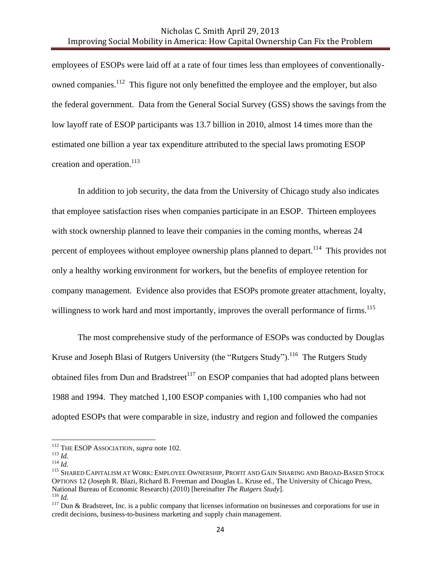employees of ESOPs were laid off at a rate of four times less than employees of conventionallyowned companies.<sup>112</sup> This figure not only benefitted the employee and the employer, but also the federal government. Data from the General Social Survey (GSS) shows the savings from the low layoff rate of ESOP participants was 13.7 billion in 2010, almost 14 times more than the estimated one billion a year tax expenditure attributed to the special laws promoting ESOP creation and operation. $^{113}$ 

In addition to job security, the data from the University of Chicago study also indicates that employee satisfaction rises when companies participate in an ESOP. Thirteen employees with stock ownership planned to leave their companies in the coming months, whereas 24 percent of employees without employee ownership plans planned to depart.<sup>114</sup> This provides not only a healthy working environment for workers, but the benefits of employee retention for company management. Evidence also provides that ESOPs promote greater attachment, loyalty, willingness to work hard and most importantly, improves the overall performance of firms.<sup>115</sup>

The most comprehensive study of the performance of ESOPs was conducted by Douglas Kruse and Joseph Blasi of Rutgers University (the "Rutgers Study").<sup>116</sup> The Rutgers Study obtained files from Dun and Bradstreet<sup>117</sup> on ESOP companies that had adopted plans between 1988 and 1994. They matched 1,100 ESOP companies with 1,100 companies who had not adopted ESOPs that were comparable in size, industry and region and followed the companies

<sup>112</sup> THE ESOP ASSOCIATION, *supra* note 102.

<sup>113</sup> *Id.* 

<sup>114</sup> *Id.*

<sup>115</sup> SHARED CAPITALISM AT WORK: EMPLOYEE OWNERSHIP, PROFIT AND GAIN SHARING AND BROAD-BASED STOCK OPTIONS 12 (Joseph R. Blazi, Richard B. Freeman and Douglas L. Kruse ed., The University of Chicago Press, National Bureau of Economic Research) (2010) [hereinafter *The Rutgers Study*]. <sup>116</sup> *Id.*

 $117$  Dun & Bradstreet, Inc. is a public company that licenses information on businesses and corporations for use in credit decisions, business-to-business marketing and supply chain management.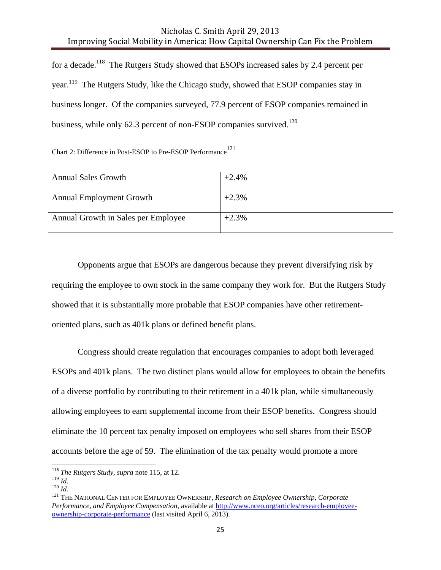for a decade.<sup>118</sup> The Rutgers Study showed that ESOPs increased sales by 2.4 percent per year.<sup>119</sup> The Rutgers Study, like the Chicago study, showed that ESOP companies stay in business longer. Of the companies surveyed, 77.9 percent of ESOP companies remained in business, while only 62.3 percent of non-ESOP companies survived.<sup>120</sup>

Chart 2: Difference in Post-ESOP to Pre-ESOP Performance<sup>121</sup>

| <b>Annual Sales Growth</b>          | $+2.4%$ |
|-------------------------------------|---------|
| <b>Annual Employment Growth</b>     | $+2.3%$ |
| Annual Growth in Sales per Employee | $+2.3%$ |

Opponents argue that ESOPs are dangerous because they prevent diversifying risk by requiring the employee to own stock in the same company they work for. But the Rutgers Study showed that it is substantially more probable that ESOP companies have other retirementoriented plans, such as 401k plans or defined benefit plans.

Congress should create regulation that encourages companies to adopt both leveraged ESOPs and 401k plans. The two distinct plans would allow for employees to obtain the benefits of a diverse portfolio by contributing to their retirement in a 401k plan, while simultaneously allowing employees to earn supplemental income from their ESOP benefits. Congress should eliminate the 10 percent tax penalty imposed on employees who sell shares from their ESOP accounts before the age of 59. The elimination of the tax penalty would promote a more

<sup>118</sup> *The Rutgers Study, supra* note 115, at 12.

 $119$  *Id.* 

 $120$  *Id.* 

<sup>121</sup> THE NATIONAL CENTER FOR EMPLOYEE OWNERSHIP, *Research on Employee Ownership, Corporate Performance, and Employee Compensation*, available at [http://www.nceo.org/articles/research-employee](http://www.nceo.org/articles/research-employee-ownership-corporate-performance)[ownership-corporate-performance](http://www.nceo.org/articles/research-employee-ownership-corporate-performance) (last visited April 6, 2013).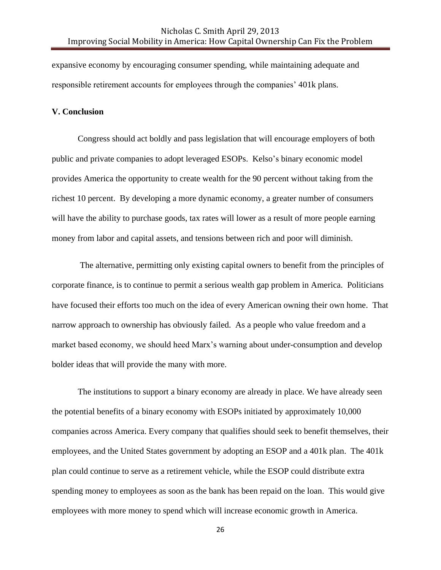expansive economy by encouraging consumer spending, while maintaining adequate and responsible retirement accounts for employees through the companies' 401k plans.

#### **V. Conclusion**

Congress should act boldly and pass legislation that will encourage employers of both public and private companies to adopt leveraged ESOPs. Kelso's binary economic model provides America the opportunity to create wealth for the 90 percent without taking from the richest 10 percent. By developing a more dynamic economy, a greater number of consumers will have the ability to purchase goods, tax rates will lower as a result of more people earning money from labor and capital assets, and tensions between rich and poor will diminish.

The alternative, permitting only existing capital owners to benefit from the principles of corporate finance, is to continue to permit a serious wealth gap problem in America. Politicians have focused their efforts too much on the idea of every American owning their own home. That narrow approach to ownership has obviously failed. As a people who value freedom and a market based economy, we should heed Marx's warning about under-consumption and develop bolder ideas that will provide the many with more.

The institutions to support a binary economy are already in place. We have already seen the potential benefits of a binary economy with ESOPs initiated by approximately 10,000 companies across America. Every company that qualifies should seek to benefit themselves, their employees, and the United States government by adopting an ESOP and a 401k plan. The 401k plan could continue to serve as a retirement vehicle, while the ESOP could distribute extra spending money to employees as soon as the bank has been repaid on the loan. This would give employees with more money to spend which will increase economic growth in America.

26